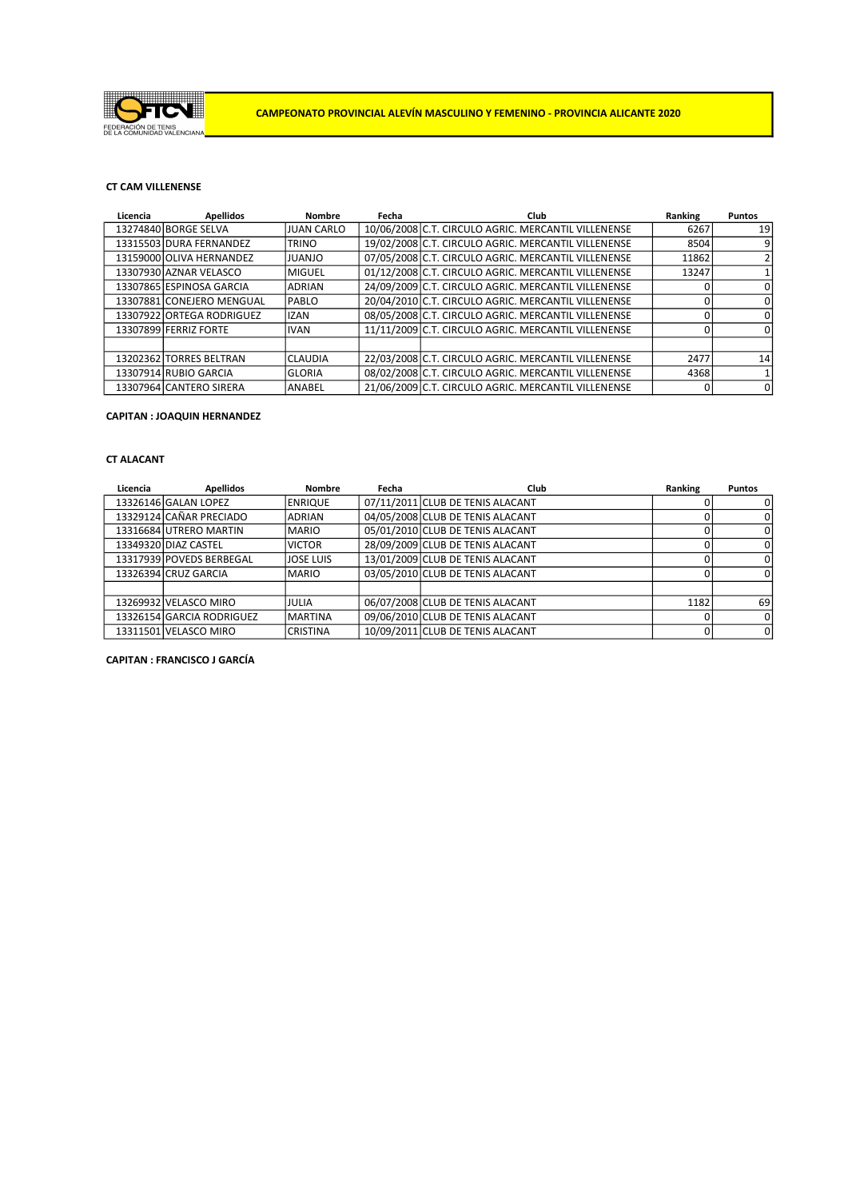

# CT CAM VILLENENSE

| Licencia | <b>Apellidos</b>          | <b>Nombre</b>    | Fecha | Club                                                | Ranking | <b>Puntos</b> |
|----------|---------------------------|------------------|-------|-----------------------------------------------------|---------|---------------|
|          | 13274840 BORGE SELVA      | IJUAN CARLO      |       | 10/06/2008 C.T. CIRCULO AGRIC. MERCANTIL VILLENENSE | 6267    | 19            |
|          | 13315503 DURA FERNANDEZ   | <b>ITRINO</b>    |       | 19/02/2008 C.T. CIRCULO AGRIC. MERCANTIL VILLENENSE | 8504    | 9             |
|          | 13159000 OLIVA HERNANDEZ  | Ol <i>I</i> AULI |       | 07/05/2008 C.T. CIRCULO AGRIC. MERCANTIL VILLENENSE | 11862   | 2             |
|          | 13307930 AZNAR VELASCO    | lmiguel          |       | 01/12/2008 C.T. CIRCULO AGRIC. MERCANTIL VILLENENSE | 13247   |               |
|          | 13307865 ESPINOSA GARCIA  | <b>ADRIAN</b>    |       | 24/09/2009 C.T. CIRCULO AGRIC. MERCANTIL VILLENENSE |         | 0             |
|          | 13307881 CONEJERO MENGUAL | <b>IPABLO</b>    |       | 20/04/2010 C.T. CIRCULO AGRIC. MERCANTIL VILLENENSE |         | 0             |
|          | 13307922 ORTEGA RODRIGUEZ | <b>IZAN</b>      |       | 08/05/2008 C.T. CIRCULO AGRIC. MERCANTIL VILLENENSE |         | 0             |
|          | 13307899 FERRIZ FORTE     | <b>IVAN</b>      |       | 11/11/2009 C.T. CIRCULO AGRIC. MERCANTIL VILLENENSE |         | $\Omega$      |
|          |                           |                  |       |                                                     |         |               |
|          | 13202362 TORRES BELTRAN   | ICLAUDIA         |       | 22/03/2008 C.T. CIRCULO AGRIC. MERCANTIL VILLENENSE | 2477    | 14            |
|          | 13307914 RUBIO GARCIA     | GLORIA           |       | 08/02/2008 C.T. CIRCULO AGRIC. MERCANTIL VILLENENSE | 4368    |               |
|          | 13307964 CANTERO SIRERA   | lanabel          |       | 21/06/2009 C.T. CIRCULO AGRIC. MERCANTIL VILLENENSE |         | $\Omega$      |

### CAPITAN : JOAQUIN HERNANDEZ

## CT ALACANT

| Licencia | <b>Apellidos</b>          | <b>Nombre</b>  | Fecha | Club                             | Ranking | <b>Puntos</b>  |
|----------|---------------------------|----------------|-------|----------------------------------|---------|----------------|
|          | 13326146 GALAN LOPEZ      | <b>ENRIQUE</b> |       | 07/11/2011 CLUB DE TENIS ALACANT |         | 0              |
|          | 13329124 CAÑAR PRECIADO   | IADRIAN        |       | 04/05/2008 CLUB DE TENIS ALACANT |         | 0              |
|          | 13316684 UTRERO MARTIN    | IMARIO         |       | 05/01/2010 CLUB DE TENIS ALACANT |         | 0              |
|          | 13349320 DIAZ CASTEL      | <b>IVICTOR</b> |       | 28/09/2009 CLUB DE TENIS ALACANT |         | 0              |
|          | 13317939 POVEDS BERBEGAL  | ljose Luis     |       | 13/01/2009 CLUB DE TENIS ALACANT |         | 0              |
|          | 13326394 CRUZ GARCIA      | <b>IMARIO</b>  |       | 03/05/2010 CLUB DE TENIS ALACANT |         | 0              |
|          |                           |                |       |                                  |         |                |
|          | 13269932 VELASCO MIRO     | IJULIA         |       | 06/07/2008 CLUB DE TENIS ALACANT | 1182    | 69 I           |
|          | 13326154 GARCIA RODRIGUEZ | IMARTINA       |       | 09/06/2010 CLUB DE TENIS ALACANT |         | 0              |
|          | 13311501 VELASCO MIRO     | ICRISTINA      |       | 10/09/2011 CLUB DE TENIS ALACANT |         | $\overline{0}$ |

CAPITAN : FRANCISCO J GARCÍA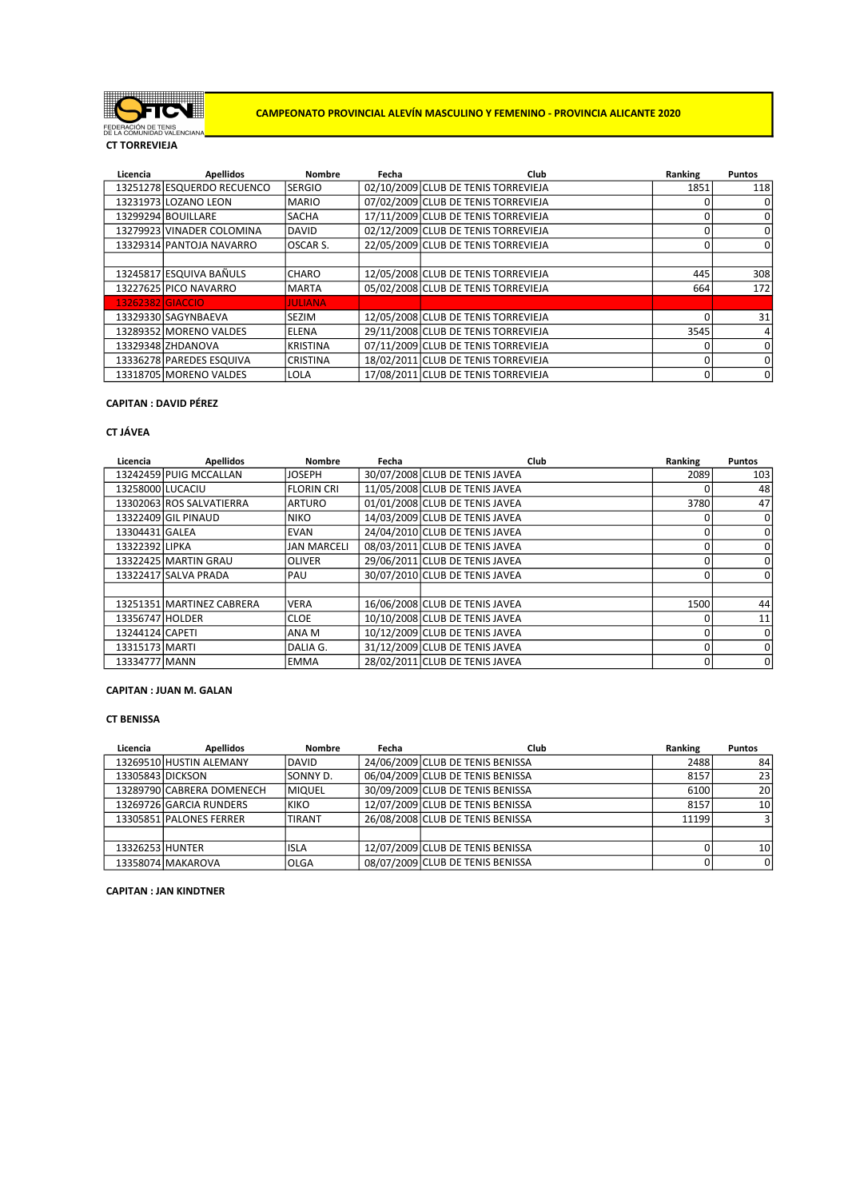

CAMPEONATO PROVINCIAL ALEVÍN MASCULINO Y FEMENINO - PROVINCIA ALICANTE 2020

CT TORREVIEJA

| Licencia         | <b>Apellidos</b>           | <b>Nombre</b>   | Fecha | Club                                | Ranking  | <b>Puntos</b> |
|------------------|----------------------------|-----------------|-------|-------------------------------------|----------|---------------|
|                  | 13251278 ESQUERDO RECUENCO | <b>SERGIO</b>   |       | 02/10/2009 CLUB DE TENIS TORREVIEJA | 1851     | <b>118</b>    |
|                  | 13231973 LOZANO LEON       | <b>MARIO</b>    |       | 07/02/2009 CLUB DE TENIS TORREVIEJA |          | 0             |
|                  | 13299294 BOUILLARE         | <b>SACHA</b>    |       | 17/11/2009 CLUB DE TENIS TORREVIEJA |          | 0             |
|                  | 13279923 VINADER COLOMINA  | <b>DAVID</b>    |       | 02/12/2009 CLUB DE TENIS TORREVIEJA |          | 0             |
|                  | 13329314 PANTOJA NAVARRO   | lOSCAR S.       |       | 22/05/2009 CLUB DE TENIS TORREVIEJA |          | $\mathbf 0$   |
|                  |                            |                 |       |                                     |          |               |
|                  | 13245817 ESQUIVA BAÑULS    | <b>CHARO</b>    |       | 12/05/2008 CLUB DE TENIS TORREVIEJA | 445      | 308           |
|                  | 13227625 PICO NAVARRO      | <b>MARTA</b>    |       | 05/02/2008 CLUB DE TENIS TORREVIEJA | 664      | 172           |
| 13262382 GIACCIO |                            | <b>JULIANA</b>  |       |                                     |          |               |
|                  | 13329330 SAGYNBAEVA        | <b>SEZIM</b>    |       | 12/05/2008 CLUB DE TENIS TORREVIEJA |          | 31            |
|                  | 13289352 MORENO VALDES     | <b>IELENA</b>   |       | 29/11/2008 CLUB DE TENIS TORREVIEJA | 3545     | $\frac{4}{ }$ |
|                  | 13329348 ZHDANOVA          | <b>KRISTINA</b> |       | 07/11/2009 CLUB DE TENIS TORREVIEJA |          | 0             |
|                  | 13336278 PAREDES ESQUIVA   | <b>CRISTINA</b> |       | 18/02/2011 CLUB DE TENIS TORREVIEJA |          | 0             |
|                  | 13318705 MORENO VALDES     | LOLA            |       | 17/08/2011 CLUB DE TENIS TORREVIEJA | $\Omega$ | 0             |

## CAPITAN : DAVID PÉREZ

### CT JÁVEA

| Licencia         | <b>Apellidos</b>          | <b>Nombre</b>      | Fecha | Club                           | Ranking | <b>Puntos</b> |
|------------------|---------------------------|--------------------|-------|--------------------------------|---------|---------------|
|                  | 13242459 PUIG MCCALLAN    | <b>JOSEPH</b>      |       | 30/07/2008 CLUB DE TENIS JAVEA | 2089    | 103           |
| 13258000 LUCACIU |                           | <b>FLORIN CRI</b>  |       | 11/05/2008 CLUB DE TENIS JAVEA |         | 48            |
|                  | 13302063 ROS SALVATIERRA  | <b>ARTURO</b>      |       | 01/01/2008 CLUB DE TENIS JAVEA | 3780    | 47            |
|                  | 13322409 GIL PINAUD       | <b>INIKO</b>       |       | 14/03/2009 CLUB DE TENIS JAVEA |         | 0             |
| 13304431 GALEA   |                           | <b>EVAN</b>        |       | 24/04/2010 CLUB DE TENIS JAVEA |         | 0             |
| 13322392 LIPKA   |                           | <b>JAN MARCELI</b> |       | 08/03/2011 CLUB DE TENIS JAVEA |         | $\Omega$      |
|                  | 13322425 MARTIN GRAU      | <b>OLIVER</b>      |       | 29/06/2011 CLUB DE TENIS JAVEA |         | $\Omega$      |
|                  | 13322417 SALVA PRADA      | <b>PAU</b>         |       | 30/07/2010 CLUB DE TENIS JAVEA |         | 0             |
|                  |                           |                    |       |                                |         |               |
|                  | 13251351 MARTINEZ CABRERA | <b>VERA</b>        |       | 16/06/2008 CLUB DE TENIS JAVEA | 1500    | 44            |
| 13356747 HOLDER  |                           | ICLOE              |       | 10/10/2008 CLUB DE TENIS JAVEA |         | 11            |
| 13244124 CAPETI  |                           | ANA M              |       | 10/12/2009 CLUB DE TENIS JAVEA |         | 0             |
| 13315173 MARTI   |                           | DALIA G.           |       | 31/12/2009 CLUB DE TENIS JAVEA |         | $\Omega$      |
| 13334777 MANN    |                           | <b>IEMMA</b>       |       | 28/02/2011 CLUB DE TENIS JAVEA |         | 0             |

## CAPITAN : JUAN M. GALAN

#### CT BENISSA

| Licencia         | <b>Apellidos</b>          | <b>Nombre</b> | Fecha | Club                             | Ranking | <b>Puntos</b>   |
|------------------|---------------------------|---------------|-------|----------------------------------|---------|-----------------|
|                  | 13269510 HUSTIN ALEMANY   | <b>IDAVID</b> |       | 24/06/2009 CLUB DE TENIS BENISSA | 2488    | 84              |
| 13305843 DICKSON |                           | SONNY D.      |       | 06/04/2009 CLUB DE TENIS BENISSA | 8157    | 23              |
|                  | 13289790 CABRERA DOMENECH | <b>MIQUEL</b> |       | 30/09/2009 CLUB DE TENIS BENISSA | 6100    | 20 <sub>l</sub> |
|                  | 13269726 GARCIA RUNDERS   | <b>IKIKO</b>  |       | 12/07/2009 CLUB DE TENIS BENISSA | 8157    | 10 l            |
|                  | 13305851 PALONES FERRER   | ITIRANT       |       | 26/08/2008 CLUB DE TENIS BENISSA | 11199   |                 |
|                  |                           |               |       |                                  |         |                 |
| 13326253 HUNTER  |                           | lisla         |       | 12/07/2009 CLUB DE TENIS BENISSA |         | 10 <sup>1</sup> |
|                  | 13358074 MAKAROVA         | lolga         |       | 08/07/2009 CLUB DE TENIS BENISSA |         | 0l              |

### CAPITAN : JAN KINDTNER